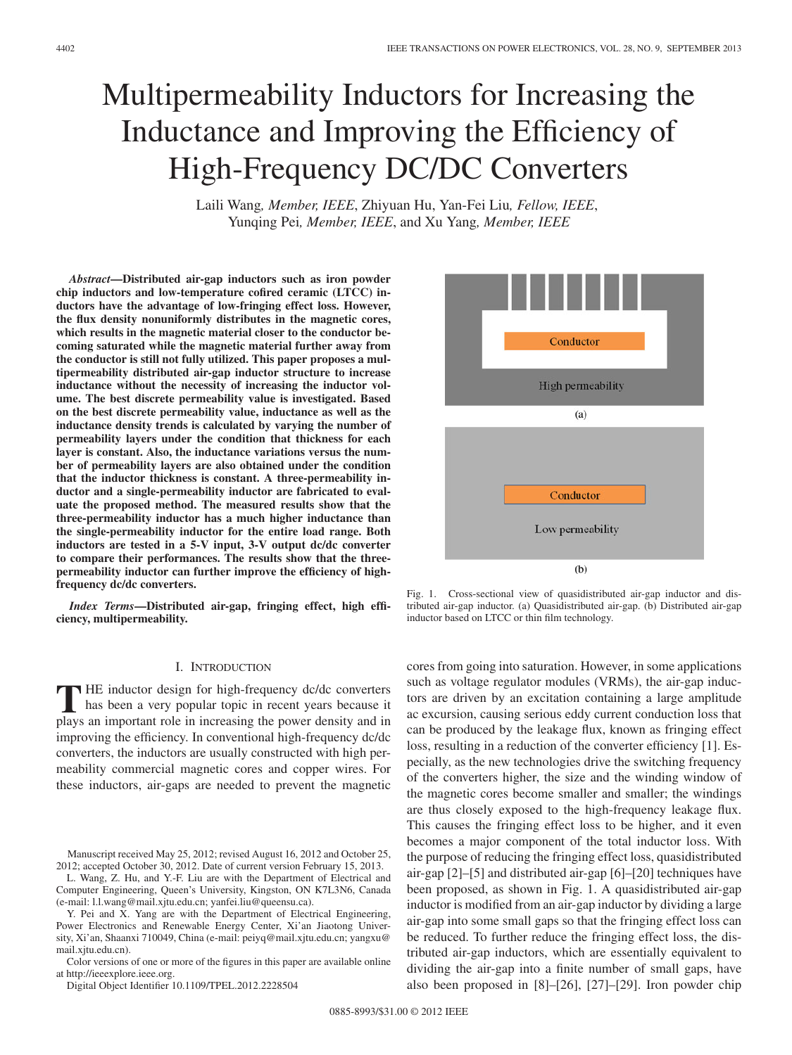# Multipermeability Inductors for Increasing the Inductance and Improving the Efficiency of High-Frequency DC/DC Converters

Laili Wang*, Member, IEEE*, Zhiyuan Hu, Yan-Fei Liu*, Fellow, IEEE*, Yunqing Pei*, Member, IEEE*, and Xu Yang*, Member, IEEE*

*Abstract***—Distributed air-gap inductors such as iron powder chip inductors and low-temperature cofired ceramic (LTCC) inductors have the advantage of low-fringing effect loss. However, the flux density nonuniformly distributes in the magnetic cores, which results in the magnetic material closer to the conductor becoming saturated while the magnetic material further away from the conductor is still not fully utilized. This paper proposes a multipermeability distributed air-gap inductor structure to increase inductance without the necessity of increasing the inductor volume. The best discrete permeability value is investigated. Based on the best discrete permeability value, inductance as well as the inductance density trends is calculated by varying the number of permeability layers under the condition that thickness for each layer is constant. Also, the inductance variations versus the number of permeability layers are also obtained under the condition that the inductor thickness is constant. A three-permeability inductor and a single-permeability inductor are fabricated to evaluate the proposed method. The measured results show that the three-permeability inductor has a much higher inductance than the single-permeability inductor for the entire load range. Both inductors are tested in a 5-V input, 3-V output dc/dc converter to compare their performances. The results show that the threepermeability inductor can further improve the efficiency of highfrequency dc/dc converters.**

*Index Terms***—Distributed air-gap, fringing effect, high efficiency, multipermeability.**

### I. INTRODUCTION

**T** HE inductor design for high-frequency dc/dc converters<br>has been a very popular topic in recent years because it<br>plays an important role in increasing the power density and in plays an important role in increasing the power density and in improving the efficiency. In conventional high-frequency dc/dc converters, the inductors are usually constructed with high permeability commercial magnetic cores and copper wires. For these inductors, air-gaps are needed to prevent the magnetic

L. Wang, Z. Hu, and Y.-F. Liu are with the Department of Electrical and Computer Engineering, Queen's University, Kingston, ON K7L3N6, Canada (e-mail: l.l.wang@mail.xjtu.edu.cn; yanfei.liu@queensu.ca).

Y. Pei and X. Yang are with the Department of Electrical Engineering, Power Electronics and Renewable Energy Center, Xi'an Jiaotong University, Xi'an, Shaanxi 710049, China (e-mail: peiyq@mail.xjtu.edu.cn; yangxu@ mail.xjtu.edu.cn).

Color versions of one or more of the figures in this paper are available online at http://ieeexplore.ieee.org.

Digital Object Identifier 10.1109/TPEL.2012.2228504



Fig. 1. Cross-sectional view of quasidistributed air-gap inductor and distributed air-gap inductor. (a) Quasidistributed air-gap. (b) Distributed air-gap inductor based on LTCC or thin film technology.

cores from going into saturation. However, in some applications such as voltage regulator modules (VRMs), the air-gap inductors are driven by an excitation containing a large amplitude ac excursion, causing serious eddy current conduction loss that can be produced by the leakage flux, known as fringing effect loss, resulting in a reduction of the converter efficiency [1]. Especially, as the new technologies drive the switching frequency of the converters higher, the size and the winding window of the magnetic cores become smaller and smaller; the windings are thus closely exposed to the high-frequency leakage flux. This causes the fringing effect loss to be higher, and it even becomes a major component of the total inductor loss. With the purpose of reducing the fringing effect loss, quasidistributed air-gap [2]–[5] and distributed air-gap [6]–[20] techniques have been proposed, as shown in Fig. 1. A quasidistributed air-gap inductor is modified from an air-gap inductor by dividing a large air-gap into some small gaps so that the fringing effect loss can be reduced. To further reduce the fringing effect loss, the distributed air-gap inductors, which are essentially equivalent to dividing the air-gap into a finite number of small gaps, have also been proposed in [8]–[26], [27]–[29]. Iron powder chip

Manuscript received May 25, 2012; revised August 16, 2012 and October 25, 2012; accepted October 30, 2012. Date of current version February 15, 2013.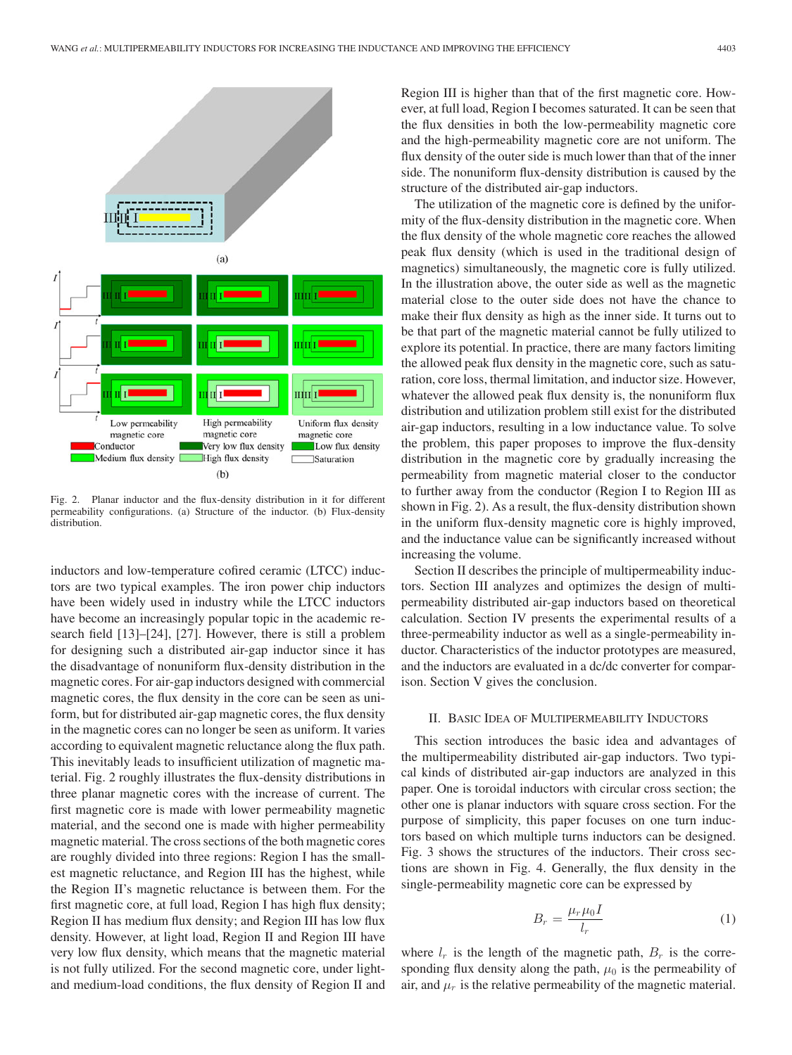

Fig. 2. Planar inductor and the flux-density distribution in it for different permeability configurations. (a) Structure of the inductor. (b) Flux-density distribution.

inductors and low-temperature cofired ceramic (LTCC) inductors are two typical examples. The iron power chip inductors have been widely used in industry while the LTCC inductors have become an increasingly popular topic in the academic research field [13]–[24], [27]. However, there is still a problem for designing such a distributed air-gap inductor since it has the disadvantage of nonuniform flux-density distribution in the magnetic cores. For air-gap inductors designed with commercial magnetic cores, the flux density in the core can be seen as uniform, but for distributed air-gap magnetic cores, the flux density in the magnetic cores can no longer be seen as uniform. It varies according to equivalent magnetic reluctance along the flux path. This inevitably leads to insufficient utilization of magnetic material. Fig. 2 roughly illustrates the flux-density distributions in three planar magnetic cores with the increase of current. The first magnetic core is made with lower permeability magnetic material, and the second one is made with higher permeability magnetic material. The cross sections of the both magnetic cores are roughly divided into three regions: Region I has the smallest magnetic reluctance, and Region III has the highest, while the Region II's magnetic reluctance is between them. For the first magnetic core, at full load, Region I has high flux density; Region II has medium flux density; and Region III has low flux density. However, at light load, Region II and Region III have very low flux density, which means that the magnetic material is not fully utilized. For the second magnetic core, under lightand medium-load conditions, the flux density of Region II and Region III is higher than that of the first magnetic core. However, at full load, Region I becomes saturated. It can be seen that the flux densities in both the low-permeability magnetic core and the high-permeability magnetic core are not uniform. The flux density of the outer side is much lower than that of the inner side. The nonuniform flux-density distribution is caused by the structure of the distributed air-gap inductors.

The utilization of the magnetic core is defined by the uniformity of the flux-density distribution in the magnetic core. When the flux density of the whole magnetic core reaches the allowed peak flux density (which is used in the traditional design of magnetics) simultaneously, the magnetic core is fully utilized. In the illustration above, the outer side as well as the magnetic material close to the outer side does not have the chance to make their flux density as high as the inner side. It turns out to be that part of the magnetic material cannot be fully utilized to explore its potential. In practice, there are many factors limiting the allowed peak flux density in the magnetic core, such as saturation, core loss, thermal limitation, and inductor size. However, whatever the allowed peak flux density is, the nonuniform flux distribution and utilization problem still exist for the distributed air-gap inductors, resulting in a low inductance value. To solve the problem, this paper proposes to improve the flux-density distribution in the magnetic core by gradually increasing the permeability from magnetic material closer to the conductor to further away from the conductor (Region I to Region III as shown in Fig. 2). As a result, the flux-density distribution shown in the uniform flux-density magnetic core is highly improved, and the inductance value can be significantly increased without increasing the volume.

Section II describes the principle of multipermeability inductors. Section III analyzes and optimizes the design of multipermeability distributed air-gap inductors based on theoretical calculation. Section IV presents the experimental results of a three-permeability inductor as well as a single-permeability inductor. Characteristics of the inductor prototypes are measured, and the inductors are evaluated in a dc/dc converter for comparison. Section V gives the conclusion.

## II. BASIC IDEA OF MULTIPERMEABILITY INDUCTORS

This section introduces the basic idea and advantages of the multipermeability distributed air-gap inductors. Two typical kinds of distributed air-gap inductors are analyzed in this paper. One is toroidal inductors with circular cross section; the other one is planar inductors with square cross section. For the purpose of simplicity, this paper focuses on one turn inductors based on which multiple turns inductors can be designed. Fig. 3 shows the structures of the inductors. Their cross sections are shown in Fig. 4. Generally, the flux density in the single-permeability magnetic core can be expressed by

$$
B_r = \frac{\mu_r \mu_0 I}{l_r} \tag{1}
$$

where  $l_r$  is the length of the magnetic path,  $B_r$  is the corresponding flux density along the path,  $\mu_0$  is the permeability of air, and  $\mu_r$  is the relative permeability of the magnetic material.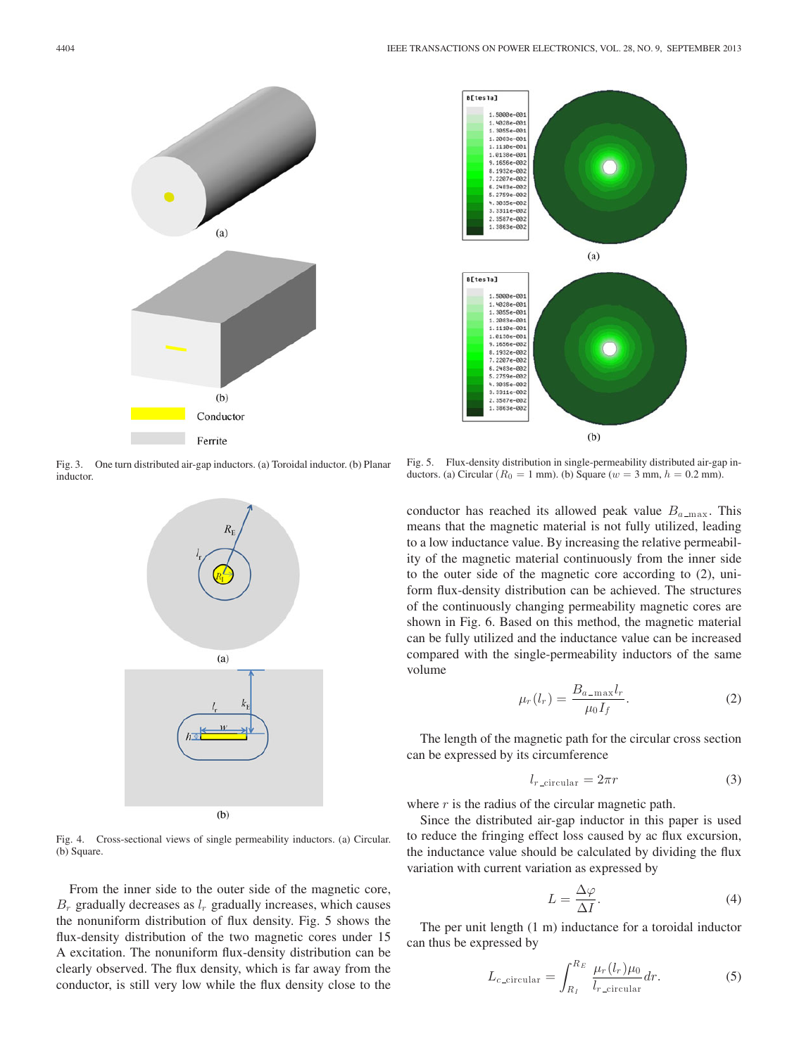

Fig. 3. One turn distributed air-gap inductors. (a) Toroidal inductor. (b) Planar inductor.



Fig. 4. Cross-sectional views of single permeability inductors. (a) Circular. (b) Square.

From the inner side to the outer side of the magnetic core,  $B_r$  gradually decreases as  $l_r$  gradually increases, which causes the nonuniform distribution of flux density. Fig. 5 shows the flux-density distribution of the two magnetic cores under 15 A excitation. The nonuniform flux-density distribution can be clearly observed. The flux density, which is far away from the conductor, is still very low while the flux density close to the



Fig. 5. Flux-density distribution in single-permeability distributed air-gap inductors. (a) Circular  $(R_0 = 1$  mm). (b) Square ( $w = 3$  mm,  $h = 0.2$  mm).

conductor has reached its allowed peak value  $B_{a_{\text{max}}}$ . This means that the magnetic material is not fully utilized, leading to a low inductance value. By increasing the relative permeability of the magnetic material continuously from the inner side to the outer side of the magnetic core according to (2), uniform flux-density distribution can be achieved. The structures of the continuously changing permeability magnetic cores are shown in Fig. 6. Based on this method, the magnetic material can be fully utilized and the inductance value can be increased compared with the single-permeability inductors of the same volume

$$
\mu_r(l_r) = \frac{B_{a\text{-max}}l_r}{\mu_0 I_f}.\tag{2}
$$

The length of the magnetic path for the circular cross section can be expressed by its circumference

$$
l_{r\_circular} = 2\pi r \tag{3}
$$

where  $r$  is the radius of the circular magnetic path.

Since the distributed air-gap inductor in this paper is used to reduce the fringing effect loss caused by ac flux excursion, the inductance value should be calculated by dividing the flux variation with current variation as expressed by

$$
L = \frac{\Delta \varphi}{\Delta I}.
$$
\n(4)

The per unit length (1 m) inductance for a toroidal inductor can thus be expressed by

$$
L_{c\text{-circular}} = \int_{R_I}^{R_E} \frac{\mu_r(l_r)\mu_0}{l_{r\text{-circular}}} dr.
$$
 (5)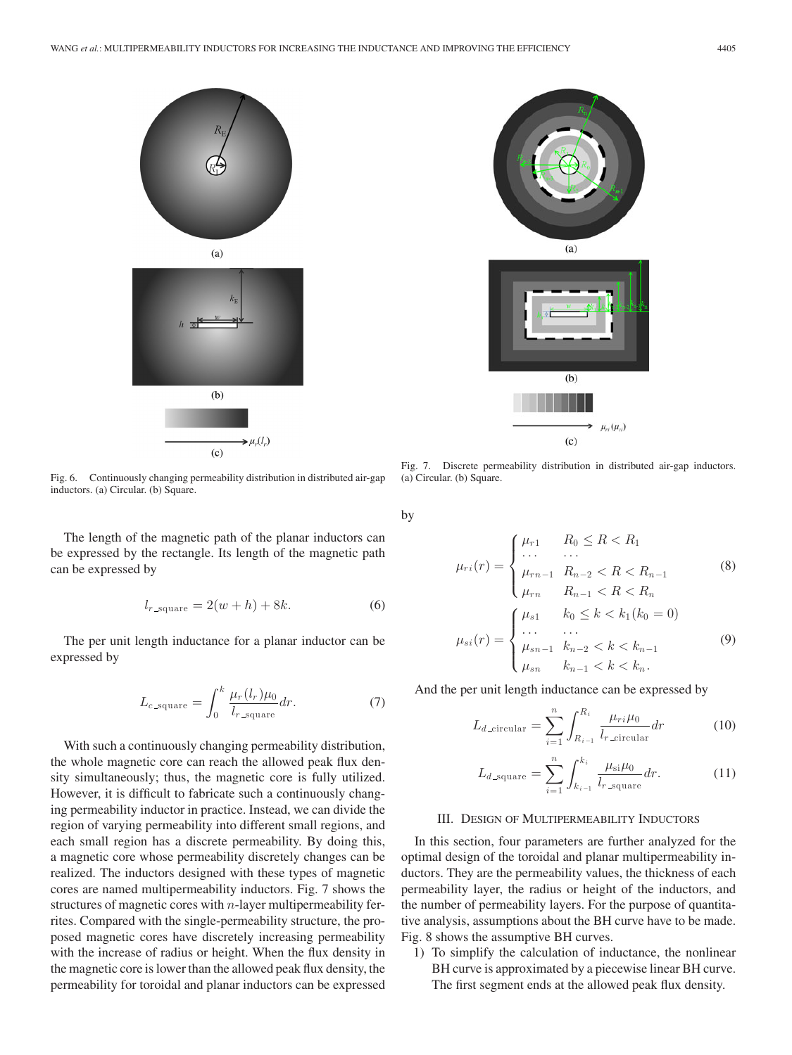

Fig. 6. Continuously changing permeability distribution in distributed air-gap inductors. (a) Circular. (b) Square.

The length of the magnetic path of the planar inductors can be expressed by the rectangle. Its length of the magnetic path can be expressed by

$$
l_{r \text{ square}} = 2(w+h) + 8k. \tag{6}
$$

The per unit length inductance for a planar inductor can be expressed by

$$
L_{c \text{-square}} = \int_0^k \frac{\mu_r(l_r)\mu_0}{l_{r \text{-square}}} dr. \tag{7}
$$

With such a continuously changing permeability distribution, the whole magnetic core can reach the allowed peak flux density simultaneously; thus, the magnetic core is fully utilized. However, it is difficult to fabricate such a continuously changing permeability inductor in practice. Instead, we can divide the region of varying permeability into different small regions, and each small region has a discrete permeability. By doing this, a magnetic core whose permeability discretely changes can be realized. The inductors designed with these types of magnetic cores are named multipermeability inductors. Fig. 7 shows the structures of magnetic cores with  $n$ -layer multipermeability ferrites. Compared with the single-permeability structure, the proposed magnetic cores have discretely increasing permeability with the increase of radius or height. When the flux density in the magnetic core is lower than the allowed peak flux density, the permeability for toroidal and planar inductors can be expressed



Fig. 7. Discrete permeability distribution in distributed air-gap inductors. (a) Circular. (b) Square.

by

$$
\mu_{ri}(r) = \begin{cases}\n\mu_{r1} & R_0 \le R < R_1 \\
\cdots & \cdots \\
\mu_{rn-1} & R_{n-2} < R < R_{n-1} \\
\mu_{rn} & R_{n-1} < R < R_n\n\end{cases} \tag{8}
$$
\n
$$
\mu_{si}(r) = \begin{cases}\n\mu_{s1} & k_0 \le k < k_1 (k_0 = 0) \\
\cdots & \cdots \\
\mu_{sn-1} & k_{n-2} < k < k_{n-1} \\
\mu_{sn} & k_{n-1} < k < k_n.\n\end{cases} \tag{9}
$$

And the per unit length inductance can be expressed by

$$
L_{d\text{-circular}} = \sum_{i=1}^{n} \int_{R_{i-1}}^{R_i} \frac{\mu_{ri}\mu_0}{l_{r\text{-circular}}} dr \tag{10}
$$

$$
L_{d \text{square}} = \sum_{i=1}^{n} \int_{k_{i-1}}^{k_i} \frac{\mu_{\text{si}} \mu_0}{l_{r \text{-}square}} dr. \tag{11}
$$

### III. DESIGN OF MULTIPERMEABILITY INDUCTORS

In this section, four parameters are further analyzed for the optimal design of the toroidal and planar multipermeability inductors. They are the permeability values, the thickness of each permeability layer, the radius or height of the inductors, and the number of permeability layers. For the purpose of quantitative analysis, assumptions about the BH curve have to be made. Fig. 8 shows the assumptive BH curves.

1) To simplify the calculation of inductance, the nonlinear BH curve is approximated by a piecewise linear BH curve. The first segment ends at the allowed peak flux density.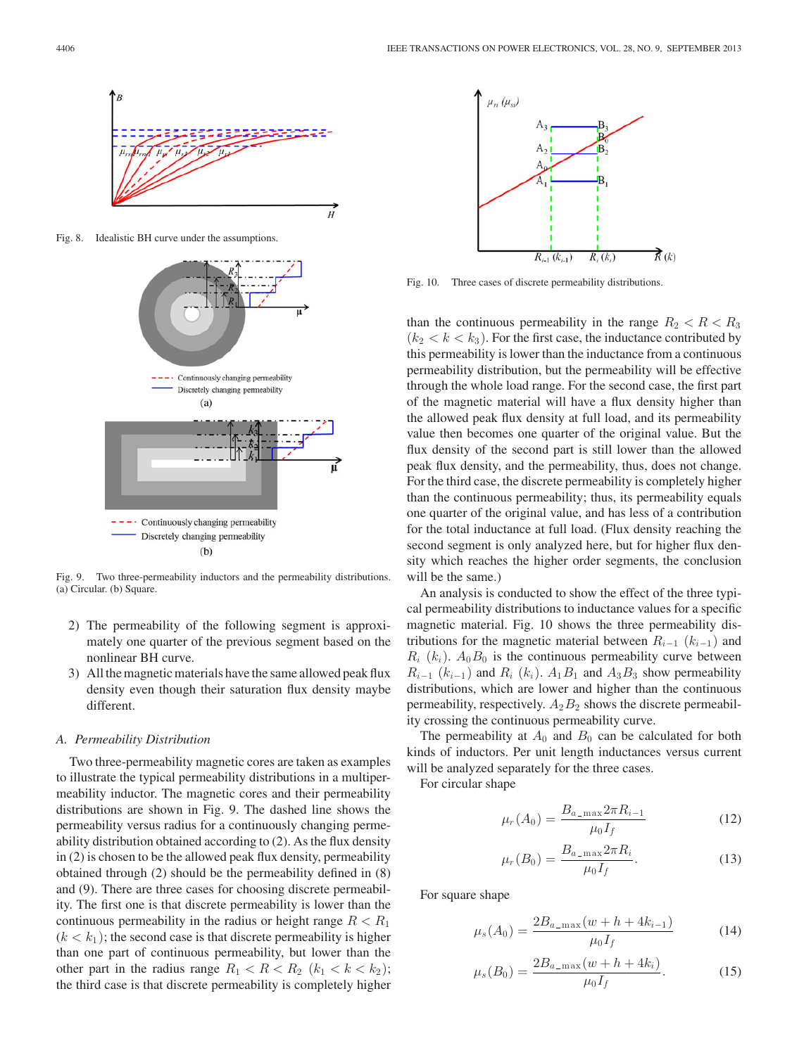

Fig. 8. Idealistic BH curve under the assumptions.



Fig. 9. Two three-permeability inductors and the permeability distributions. (a) Circular. (b) Square.

- 2) The permeability of the following segment is approximately one quarter of the previous segment based on the nonlinear BH curve.
- 3) All the magnetic materials have the same allowed peak flux density even though their saturation flux density maybe different.

#### *A. Permeability Distribution*

Two three-permeability magnetic cores are taken as examples to illustrate the typical permeability distributions in a multipermeability inductor. The magnetic cores and their permeability distributions are shown in Fig. 9. The dashed line shows the permeability versus radius for a continuously changing permeability distribution obtained according to (2). As the flux density in (2) is chosen to be the allowed peak flux density, permeability obtained through (2) should be the permeability defined in (8) and (9). There are three cases for choosing discrete permeability. The first one is that discrete permeability is lower than the continuous permeability in the radius or height range  $R < R_1$  $(k < k_1)$ ; the second case is that discrete permeability is higher than one part of continuous permeability, but lower than the other part in the radius range  $R_1 < R < R_2$  ( $k_1 < k < k_2$ ); the third case is that discrete permeability is completely higher



Fig. 10. Three cases of discrete permeability distributions.

than the continuous permeability in the range  $R_2 < R < R_3$  $(k_2 < k < k_3)$ . For the first case, the inductance contributed by this permeability is lower than the inductance from a continuous permeability distribution, but the permeability will be effective through the whole load range. For the second case, the first part of the magnetic material will have a flux density higher than the allowed peak flux density at full load, and its permeability value then becomes one quarter of the original value. But the flux density of the second part is still lower than the allowed peak flux density, and the permeability, thus, does not change. For the third case, the discrete permeability is completely higher than the continuous permeability; thus, its permeability equals one quarter of the original value, and has less of a contribution for the total inductance at full load. (Flux density reaching the second segment is only analyzed here, but for higher flux density which reaches the higher order segments, the conclusion will be the same.)

An analysis is conducted to show the effect of the three typical permeability distributions to inductance values for a specific magnetic material. Fig. 10 shows the three permeability distributions for the magnetic material between  $R_{i-1}$  ( $k_{i-1}$ ) and  $R_i$  ( $k_i$ ).  $A_0B_0$  is the continuous permeability curve between  $R_{i-1}$  ( $k_{i-1}$ ) and  $R_i$  ( $k_i$ ).  $A_1B_1$  and  $A_3B_3$  show permeability distributions, which are lower and higher than the continuous permeability, respectively.  $A_2B_2$  shows the discrete permeability crossing the continuous permeability curve.

The permeability at  $A_0$  and  $B_0$  can be calculated for both kinds of inductors. Per unit length inductances versus current will be analyzed separately for the three cases.

For circular shape

$$
\mu_r(A_0) = \frac{B_{a_{-} \max} 2\pi R_{i-1}}{\mu_0 I_f} \tag{12}
$$

$$
\mu_r(B_0) = \frac{B_{a_{-} \max} 2\pi R_i}{\mu_0 I_f}.
$$
\n(13)

For square shape

$$
\mu_s(A_0) = \frac{2B_{a\text{-max}}(w + h + 4k_{i-1})}{\mu_0 I_f} \tag{14}
$$

$$
\mu_s(B_0) = \frac{2B_{a\text{-max}}(w + h + 4k_i)}{\mu_0 I_f}.
$$
\n(15)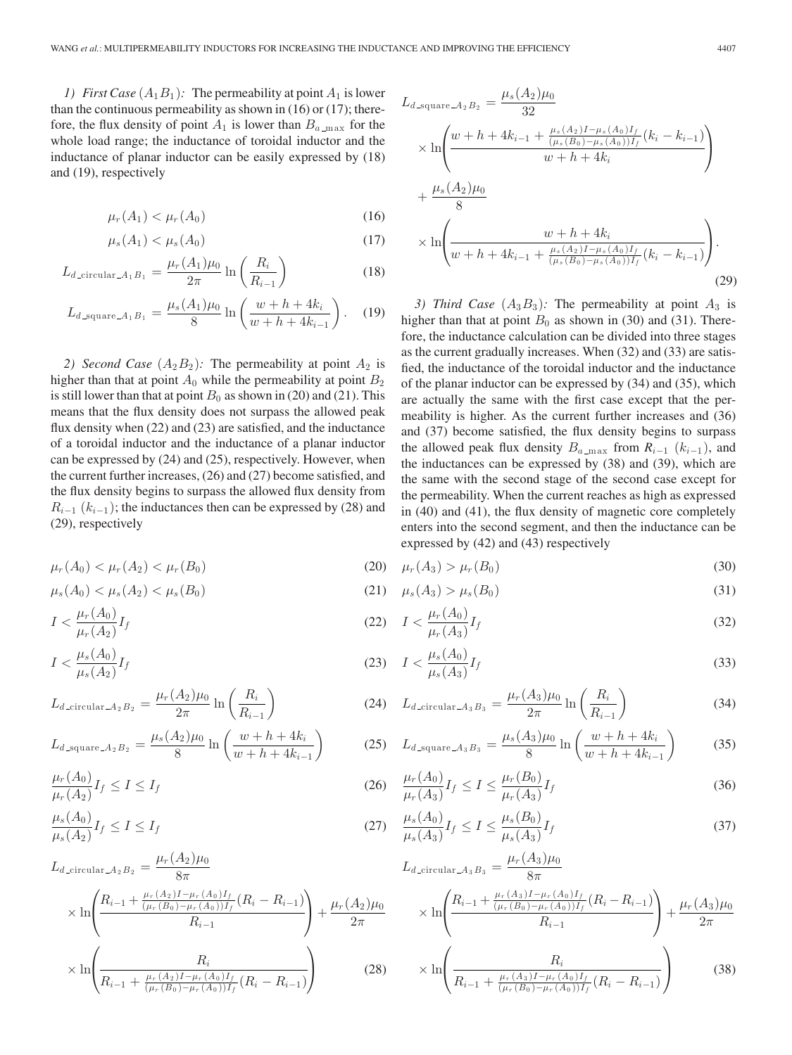*1) First Case*  $(A_1B_1)$ : The permeability at point  $A_1$  is lower than the continuous permeability as shown in  $(16)$  or  $(17)$ ; therefore, the flux density of point  $A_1$  is lower than  $B_{a_{\text{max}}}$  for the whole load range; the inductance of toroidal inductor and the inductance of planar inductor can be easily expressed by (18) and (19), respectively

$$
\mu_r(A_1) < \mu_r(A_0) \tag{16}
$$

$$
\mu_s(A_1) < \mu_s(A_0) \tag{17}
$$

$$
L_{d\text{-circular-}A_1B_1} = \frac{\mu_r(A_1)\mu_0}{2\pi} \ln\left(\frac{R_i}{R_{i-1}}\right) \tag{18}
$$

$$
L_{d \text{square} A_1 B_1} = \frac{\mu_s(A_1)\mu_0}{8} \ln\left(\frac{w + h + 4k_i}{w + h + 4k_{i-1}}\right). \tag{19}
$$

*2) Second Case*  $(A_2B_2)$ : The permeability at point  $A_2$  is higher than that at point  $A_0$  while the permeability at point  $B_2$ is still lower than that at point  $B_0$  as shown in (20) and (21). This means that the flux density does not surpass the allowed peak flux density when (22) and (23) are satisfied, and the inductance of a toroidal inductor and the inductance of a planar inductor can be expressed by (24) and (25), respectively. However, when the current further increases, (26) and (27) become satisfied, and the flux density begins to surpass the allowed flux density from  $R_{i-1}$  ( $k_{i-1}$ ); the inductances then can be expressed by (28) and (29), respectively

$$
\mu_r(A_0) < \mu_r(A_2) < \mu_r(B_0) \tag{20}
$$

$$
\mu_s(A_0) < \mu_s(A_2) < \mu_s(B_0) \tag{21}
$$

$$
I < \frac{\mu_r(A_0)}{\mu_r(A_2)} I_f \tag{22}
$$

$$
I < \frac{\mu_s(A_0)}{\mu_s(A_2)} I_f \tag{23}
$$

$$
L_{d\text{-circular-}A_2B_2} = \frac{\mu_r(A_2)\mu_0}{2\pi} \ln\left(\frac{R_i}{R_{i-1}}\right) \tag{24}
$$

$$
L_{d \text{square} \_A_2 B_2} = \frac{\mu_s(A_2)\mu_0}{8} \ln\left(\frac{w + h + 4k_i}{w + h + 4k_{i-1}}\right) \tag{25}
$$

$$
\frac{\mu_r(A_0)}{\mu_r(A_2)} I_f \le I \le I_f \tag{26}
$$

$$
\frac{\mu_s(A_0)}{\mu_s(A_2)} I_f \le I \le I_f \tag{27}
$$

$$
L_{d\text{-circular-}A_2B_2} = \frac{\mu_r(A_2)\mu_0}{8\pi} \times \ln\left(\frac{R_{i-1} + \frac{\mu_r(A_2)I - \mu_r(A_0)I_f}{(\mu_r(B_0) - \mu_r(A_0))I_f}(R_i - R_{i-1})}{R_{i-1}}\right) + \frac{\mu_r(A_2)\mu_0}{2\pi}
$$

$$
\times \ln\left(\frac{R_i}{R_{i-1} + \frac{\mu_r(A_2)I - \mu_r(A_0)I_f}{(\mu_r(B_0) - \mu_r(A_0))I_f}(R_i - R_{i-1})}\right) \tag{28}
$$

$$
L_{d \text{square} \_A_2 B_2} = \frac{\mu_s(A_2)\mu_0}{32}
$$
  
 
$$
\times \ln\left(\frac{w + h + 4k_{i-1} + \frac{\mu_s(A_2)I - \mu_s(A_0)I_f}{(\mu_s(B_0) - \mu_s(A_0))I_f}(k_i - k_{i-1})}{w + h + 4k_i}\right)
$$
  
 
$$
+ \frac{\mu_s(A_2)\mu_0}{8}
$$
  
 
$$
\times \ln\left(\frac{w + h + 4k_i}{w + h + 4k_{i-1} + \frac{\mu_s(A_2)I - \mu_s(A_0)I_f}{(\mu_s(B_0) - \mu_s(A_0))I_f}(k_i - k_{i-1})}\right).
$$
(29)

*3) Third Case*  $(A_3B_3)$ : The permeability at point  $A_3$  is higher than that at point  $B_0$  as shown in (30) and (31). Therefore, the inductance calculation can be divided into three stages as the current gradually increases. When (32) and (33) are satisfied, the inductance of the toroidal inductor and the inductance of the planar inductor can be expressed by (34) and (35), which are actually the same with the first case except that the permeability is higher. As the current further increases and (36) and (37) become satisfied, the flux density begins to surpass the allowed peak flux density  $B_{a_{\text{max}}}$  from  $R_{i-1}$  ( $k_{i-1}$ ), and the inductances can be expressed by (38) and (39), which are the same with the second stage of the second case except for the permeability. When the current reaches as high as expressed in (40) and (41), the flux density of magnetic core completely enters into the second segment, and then the inductance can be expressed by (42) and (43) respectively

$$
\mu_r(A_3) > \mu_r(B_0) \tag{30}
$$

$$
\mu_s(A_3) > \mu_s(B_0) \tag{31}
$$

$$
I < \frac{\mu_r(A_0)}{\mu_r(A_3)} I_f \tag{32}
$$

$$
(33)
$$
  $I < \frac{\mu_s(A_0)}{\mu_s(A_3)} I_f$ 

$$
L_{d\text{-circular-}A_3B_3} = \frac{\mu_r(A_3)\mu_0}{2\pi} \ln\left(\frac{R_i}{R_{i-1}}\right) \tag{34}
$$

$$
L_{d \text{square} A_3 B_3} = \frac{\mu_s(A_3)\mu_0}{8} \ln\left(\frac{w + h + 4k_i}{w + h + 4k_{i-1}}\right) \tag{35}
$$

$$
\frac{\mu_r(A_0)}{\mu_r(A_3)} I_f \le I \le \frac{\mu_r(B_0)}{\mu_r(A_3)} I_f \tag{36}
$$

$$
\frac{\mu_s(A_0)}{\mu_s(A_3)} I_f \le I \le \frac{\mu_s(B_0)}{\mu_s(A_3)} I_f \tag{37}
$$

$$
L_{d\text{-circular-}A_3B_3} = \frac{\mu_r(A_3)\mu_0}{8\pi}
$$
  
 
$$
\times \ln\left(\frac{R_{i-1} + \frac{\mu_r(A_3)I - \mu_r(A_0)I_f}{(\mu_r(B_0) - \mu_r(A_0))I_f}(R_i - R_{i-1})}{R_{i-1}}\right) + \frac{\mu_r(A_3)\mu_0}{2\pi}
$$
  
 
$$
\times \ln\left(\frac{R_i}{R_{i-1} + \frac{\mu_r(A_3)I - \mu_r(A_0)I_f}{(\mu_r(B_0) - \mu_r(A_0))I_f}(R_i - R_{i-1})}\right) \tag{38}
$$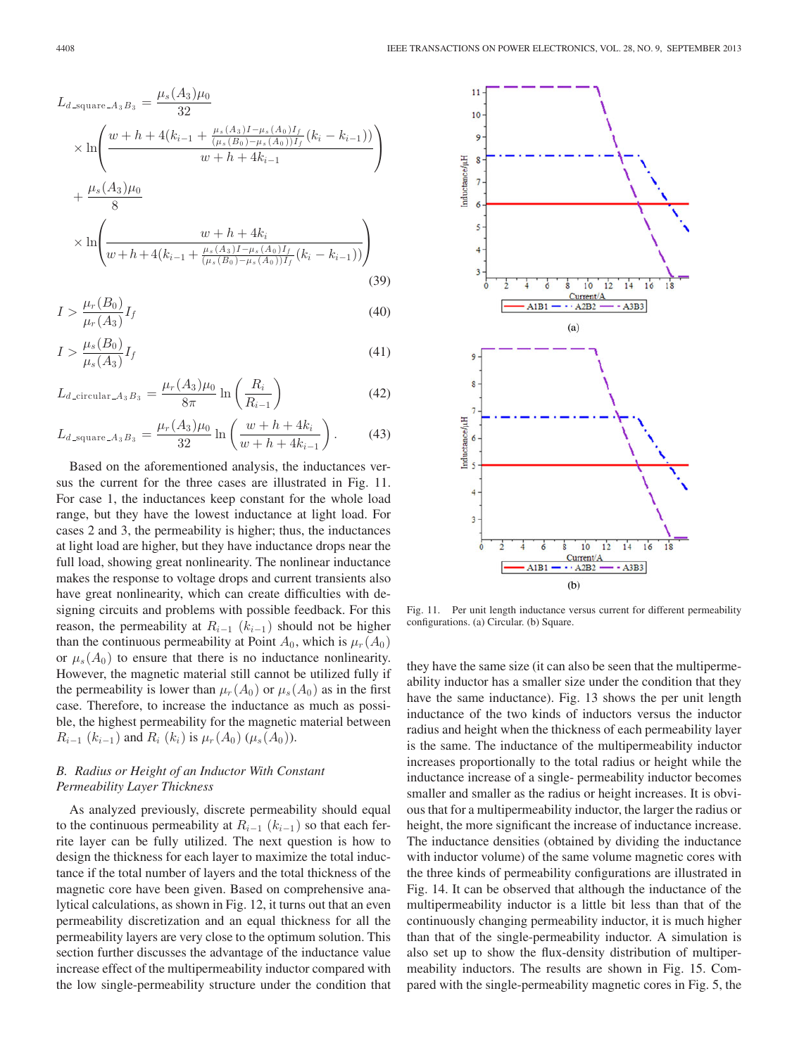$$
L_{d \text{square} \_A g} = \frac{\mu_s(A_3)\mu_0}{32}
$$
\n
$$
\times \ln\left(\frac{w+h+4(k_{i-1}+\frac{\mu_s(A_3)I-\mu_s(A_0)I_f}{(\mu_s(B_0)-\mu_s(A_0))I_f}(k_i-k_{i-1}))}{w+h+4k_{i-1}}\right)
$$
\n
$$
+\frac{\mu_s(A_3)\mu_0}{8}
$$
\n
$$
\times \ln\left(\frac{w+h+4k_i}{w+h+4(k_{i-1}+\frac{\mu_s(A_3)I-\mu_s(A_0)I_f}{(\mu_s(B_0)-\mu_s(A_0))I_f}(k_i-k_{i-1}))}\right)
$$
\n(39)

$$
I > \frac{\mu_r(B_0)}{\mu_r(A_3)} I_f \tag{40}
$$

$$
I > \frac{\mu_s(B_0)}{\mu_s(A_3)} I_f \tag{41}
$$

$$
L_{d\text{-circular-}A_3B_3} = \frac{\mu_r(A_3)\mu_0}{8\pi} \ln\left(\frac{R_i}{R_{i-1}}\right) \tag{42}
$$

$$
L_{d \text{square} A_3 B_3} = \frac{\mu_r(A_3)\mu_0}{32} \ln\left(\frac{w+h+4k_i}{w+h+4k_{i-1}}\right). \tag{43}
$$

Based on the aforementioned analysis, the inductances versus the current for the three cases are illustrated in Fig. 11. For case 1, the inductances keep constant for the whole load range, but they have the lowest inductance at light load. For cases 2 and 3, the permeability is higher; thus, the inductances at light load are higher, but they have inductance drops near the full load, showing great nonlinearity. The nonlinear inductance makes the response to voltage drops and current transients also have great nonlinearity, which can create difficulties with designing circuits and problems with possible feedback. For this reason, the permeability at  $R_{i-1}$  ( $k_{i-1}$ ) should not be higher than the continuous permeability at Point  $A_0$ , which is  $\mu_r(A_0)$ or  $\mu_s(A_0)$  to ensure that there is no inductance nonlinearity. However, the magnetic material still cannot be utilized fully if the permeability is lower than  $\mu_r(A_0)$  or  $\mu_s(A_0)$  as in the first case. Therefore, to increase the inductance as much as possible, the highest permeability for the magnetic material between  $R_{i-1}$   $(k_{i-1})$  and  $R_i$   $(k_i)$  is  $\mu_r(A_0)$   $(\mu_s(A_0))$ .

### *B. Radius or Height of an Inductor With Constant Permeability Layer Thickness*

As analyzed previously, discrete permeability should equal to the continuous permeability at  $R_{i-1}$  ( $k_{i-1}$ ) so that each ferrite layer can be fully utilized. The next question is how to design the thickness for each layer to maximize the total inductance if the total number of layers and the total thickness of the magnetic core have been given. Based on comprehensive analytical calculations, as shown in Fig. 12, it turns out that an even permeability discretization and an equal thickness for all the permeability layers are very close to the optimum solution. This section further discusses the advantage of the inductance value increase effect of the multipermeability inductor compared with the low single-permeability structure under the condition that



Fig. 11. Per unit length inductance versus current for different permeability configurations. (a) Circular. (b) Square.

they have the same size (it can also be seen that the multipermeability inductor has a smaller size under the condition that they have the same inductance). Fig. 13 shows the per unit length inductance of the two kinds of inductors versus the inductor radius and height when the thickness of each permeability layer is the same. The inductance of the multipermeability inductor increases proportionally to the total radius or height while the inductance increase of a single- permeability inductor becomes smaller and smaller as the radius or height increases. It is obvious that for a multipermeability inductor, the larger the radius or height, the more significant the increase of inductance increase. The inductance densities (obtained by dividing the inductance with inductor volume) of the same volume magnetic cores with the three kinds of permeability configurations are illustrated in Fig. 14. It can be observed that although the inductance of the multipermeability inductor is a little bit less than that of the continuously changing permeability inductor, it is much higher than that of the single-permeability inductor. A simulation is also set up to show the flux-density distribution of multipermeability inductors. The results are shown in Fig. 15. Compared with the single-permeability magnetic cores in Fig. 5, the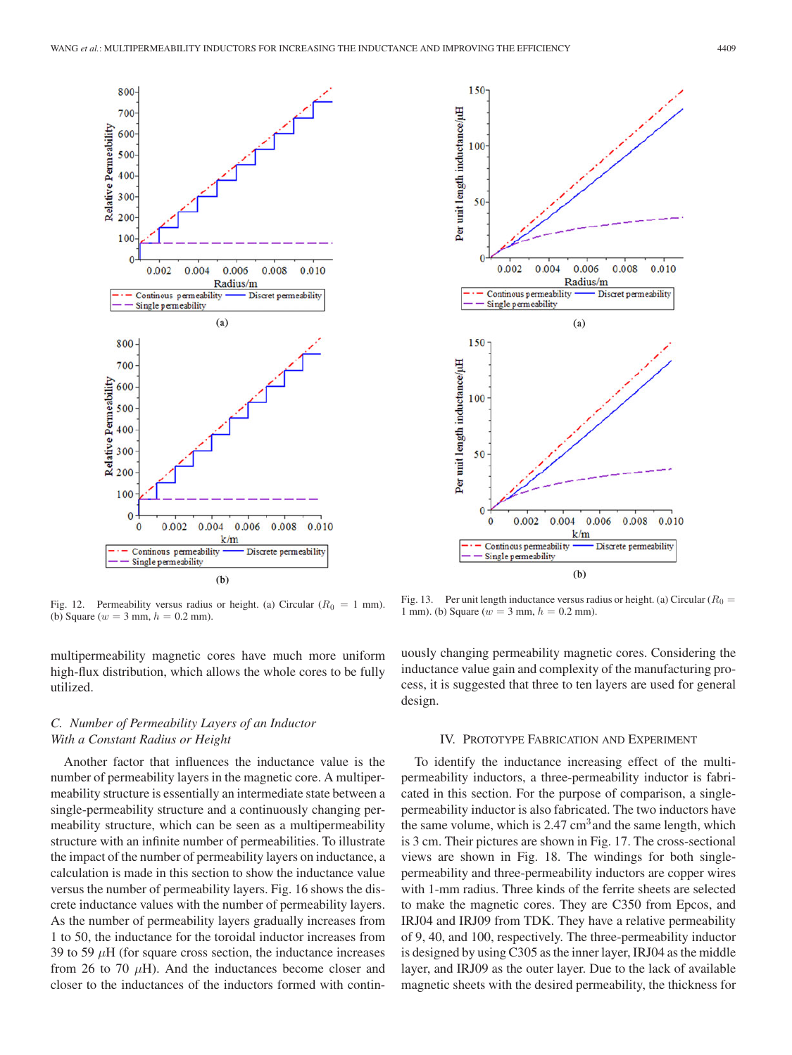

Fig. 12. Permeability versus radius or height. (a) Circular ( $R_0 = 1$  mm). (b) Square ( $w = 3$  mm,  $h = 0.2$  mm).

multipermeability magnetic cores have much more uniform high-flux distribution, which allows the whole cores to be fully utilized.

## *C. Number of Permeability Layers of an Inductor With a Constant Radius or Height*

Another factor that influences the inductance value is the number of permeability layers in the magnetic core. A multipermeability structure is essentially an intermediate state between a single-permeability structure and a continuously changing permeability structure, which can be seen as a multipermeability structure with an infinite number of permeabilities. To illustrate the impact of the number of permeability layers on inductance, a calculation is made in this section to show the inductance value versus the number of permeability layers. Fig. 16 shows the discrete inductance values with the number of permeability layers. As the number of permeability layers gradually increases from 1 to 50, the inductance for the toroidal inductor increases from 39 to 59  $\mu$ H (for square cross section, the inductance increases from 26 to 70  $\mu$ H). And the inductances become closer and closer to the inductances of the inductors formed with contin-



Fig. 13. Per unit length inductance versus radius or height. (a) Circular ( $R_0 =$ 1 mm). (b) Square ( $w = 3$  mm,  $h = 0.2$  mm).

uously changing permeability magnetic cores. Considering the inductance value gain and complexity of the manufacturing process, it is suggested that three to ten layers are used for general design.

#### IV. PROTOTYPE FABRICATION AND EXPERIMENT

To identify the inductance increasing effect of the multipermeability inductors, a three-permeability inductor is fabricated in this section. For the purpose of comparison, a singlepermeability inductor is also fabricated. The two inductors have the same volume, which is  $2.47 \text{ cm}^3$  and the same length, which is 3 cm. Their pictures are shown in Fig. 17. The cross-sectional views are shown in Fig. 18. The windings for both singlepermeability and three-permeability inductors are copper wires with 1-mm radius. Three kinds of the ferrite sheets are selected to make the magnetic cores. They are C350 from Epcos, and IRJ04 and IRJ09 from TDK. They have a relative permeability of 9, 40, and 100, respectively. The three-permeability inductor is designed by using C305 as the inner layer, IRJ04 as the middle layer, and IRJ09 as the outer layer. Due to the lack of available magnetic sheets with the desired permeability, the thickness for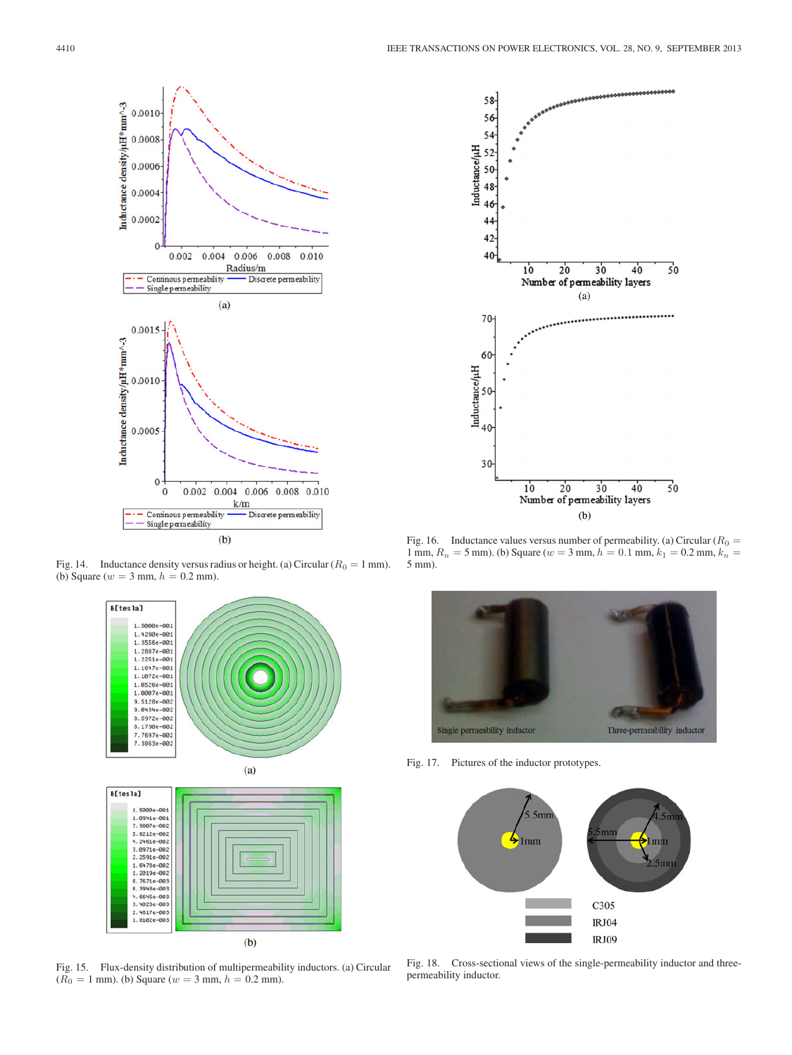

Fig. 14. Inductance density versus radius or height. (a) Circular ( $R_0 = 1$  mm). (b) Square ( $w = 3$  mm,  $h = 0.2$  mm).



Fig. 15. Flux-density distribution of multipermeability inductors. (a) Circular  $(R_0 = 1$  mm). (b) Square ( $w = 3$  mm,  $h = 0.2$  mm).



Fig. 16. Inductance values versus number of permeability. (a) Circular ( $R_0 =$ 1 mm,  $R_n = 5$  mm). (b) Square ( $w = 3$  mm,  $h = 0.1$  mm,  $k_1 = 0.2$  mm,  $k_n = 1$ 5 mm).



Fig. 17. Pictures of the inductor prototypes.



Fig. 18. Cross-sectional views of the single-permeability inductor and threepermeability inductor.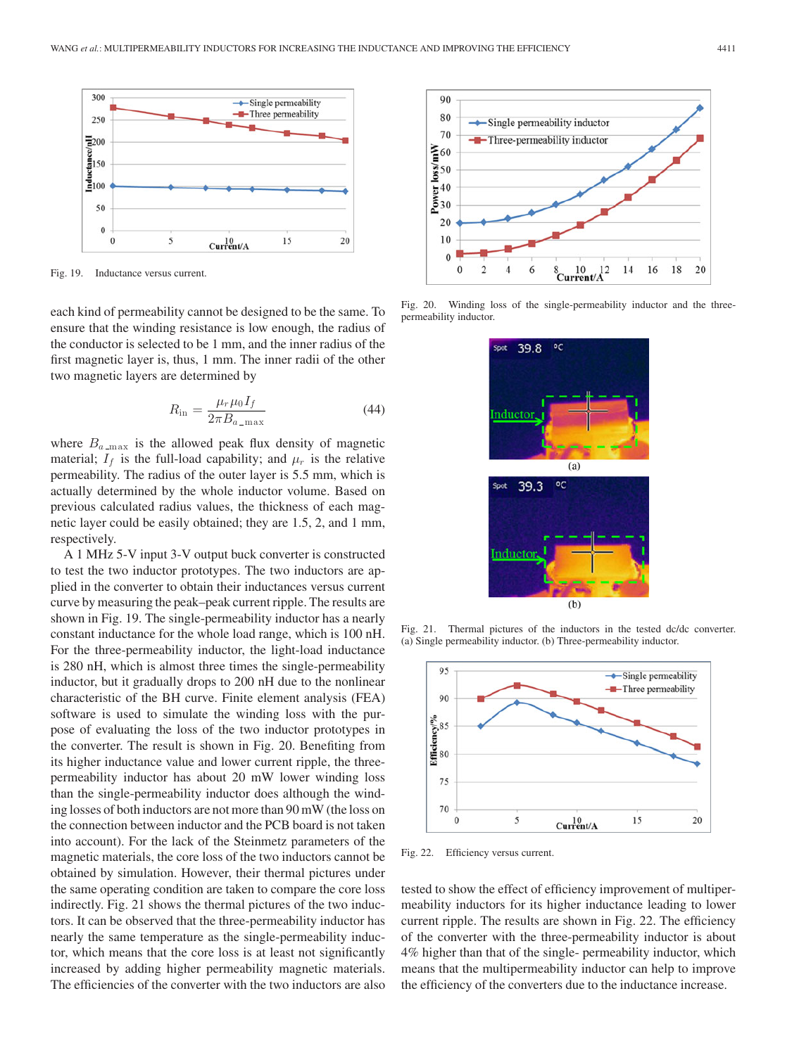

Fig. 19. Inductance versus current.

each kind of permeability cannot be designed to be the same. To ensure that the winding resistance is low enough, the radius of the conductor is selected to be 1 mm, and the inner radius of the first magnetic layer is, thus, 1 mm. The inner radii of the other two magnetic layers are determined by

$$
R_{\rm in} = \frac{\mu_r \mu_0 I_f}{2\pi B_{a_{\rm -max}}} \tag{44}
$$

where  $B_{a_{\text{max}}}$  is the allowed peak flux density of magnetic material;  $I_f$  is the full-load capability; and  $\mu_r$  is the relative permeability. The radius of the outer layer is 5.5 mm, which is actually determined by the whole inductor volume. Based on previous calculated radius values, the thickness of each magnetic layer could be easily obtained; they are 1.5, 2, and 1 mm, respectively.

A 1 MHz 5-V input 3-V output buck converter is constructed to test the two inductor prototypes. The two inductors are applied in the converter to obtain their inductances versus current curve by measuring the peak–peak current ripple. The results are shown in Fig. 19. The single-permeability inductor has a nearly constant inductance for the whole load range, which is 100 nH. For the three-permeability inductor, the light-load inductance is 280 nH, which is almost three times the single-permeability inductor, but it gradually drops to 200 nH due to the nonlinear characteristic of the BH curve. Finite element analysis (FEA) software is used to simulate the winding loss with the purpose of evaluating the loss of the two inductor prototypes in the converter. The result is shown in Fig. 20. Benefiting from its higher inductance value and lower current ripple, the threepermeability inductor has about 20 mW lower winding loss than the single-permeability inductor does although the winding losses of both inductors are not more than 90 mW (the loss on the connection between inductor and the PCB board is not taken into account). For the lack of the Steinmetz parameters of the magnetic materials, the core loss of the two inductors cannot be obtained by simulation. However, their thermal pictures under the same operating condition are taken to compare the core loss indirectly. Fig. 21 shows the thermal pictures of the two inductors. It can be observed that the three-permeability inductor has nearly the same temperature as the single-permeability inductor, which means that the core loss is at least not significantly increased by adding higher permeability magnetic materials. The efficiencies of the converter with the two inductors are also



Fig. 20. Winding loss of the single-permeability inductor and the threepermeability inductor.



Fig. 21. Thermal pictures of the inductors in the tested dc/dc converter. (a) Single permeability inductor. (b) Three-permeability inductor.



Fig. 22. Efficiency versus current.

tested to show the effect of efficiency improvement of multipermeability inductors for its higher inductance leading to lower current ripple. The results are shown in Fig. 22. The efficiency of the converter with the three-permeability inductor is about 4% higher than that of the single- permeability inductor, which means that the multipermeability inductor can help to improve the efficiency of the converters due to the inductance increase.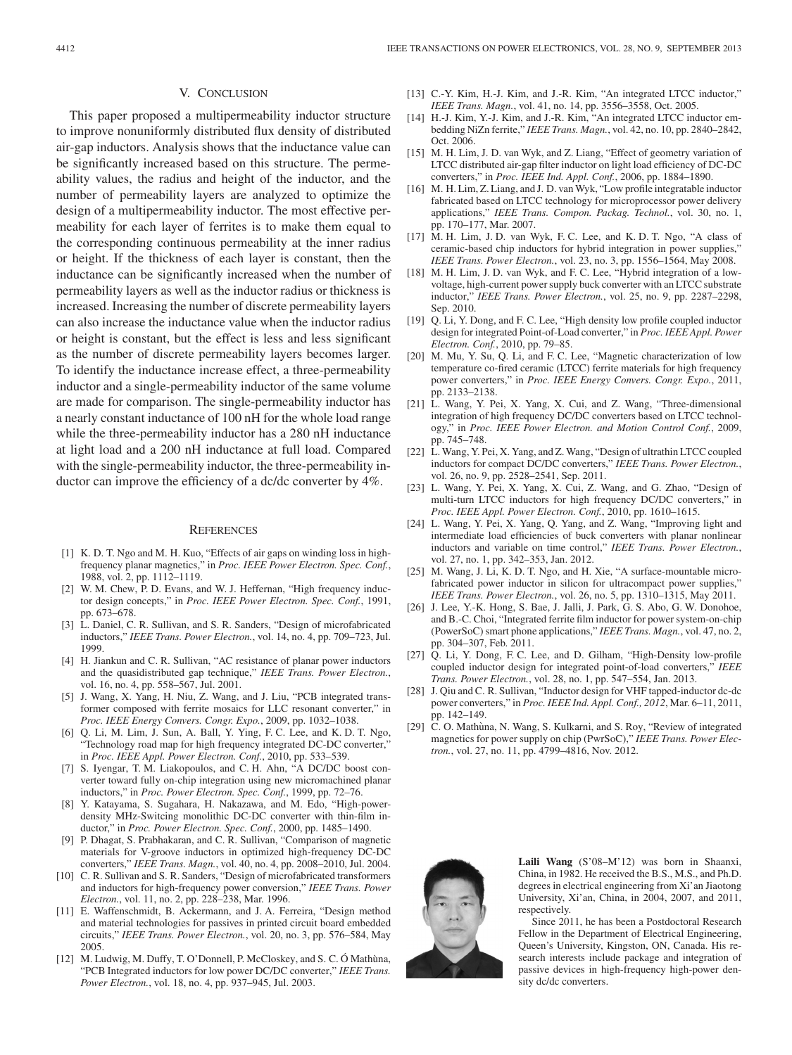#### V. CONCLUSION

This paper proposed a multipermeability inductor structure to improve nonuniformly distributed flux density of distributed air-gap inductors. Analysis shows that the inductance value can be significantly increased based on this structure. The permeability values, the radius and height of the inductor, and the number of permeability layers are analyzed to optimize the design of a multipermeability inductor. The most effective permeability for each layer of ferrites is to make them equal to the corresponding continuous permeability at the inner radius or height. If the thickness of each layer is constant, then the inductance can be significantly increased when the number of permeability layers as well as the inductor radius or thickness is increased. Increasing the number of discrete permeability layers can also increase the inductance value when the inductor radius or height is constant, but the effect is less and less significant as the number of discrete permeability layers becomes larger. To identify the inductance increase effect, a three-permeability inductor and a single-permeability inductor of the same volume are made for comparison. The single-permeability inductor has a nearly constant inductance of 100 nH for the whole load range while the three-permeability inductor has a 280 nH inductance at light load and a 200 nH inductance at full load. Compared with the single-permeability inductor, the three-permeability inductor can improve the efficiency of a dc/dc converter by 4%.

#### **REFERENCES**

- [1] K. D. T. Ngo and M. H. Kuo, "Effects of air gaps on winding loss in highfrequency planar magnetics," in *Proc. IEEE Power Electron. Spec. Conf.*, 1988, vol. 2, pp. 1112–1119.
- [2] W. M. Chew, P. D. Evans, and W. J. Heffernan, "High frequency inductor design concepts," in *Proc. IEEE Power Electron. Spec. Conf.*, 1991, pp. 673–678.
- [3] L. Daniel, C. R. Sullivan, and S. R. Sanders, "Design of microfabricated inductors," *IEEE Trans. Power Electron.*, vol. 14, no. 4, pp. 709–723, Jul. 1999.
- [4] H. Jiankun and C. R. Sullivan, "AC resistance of planar power inductors and the quasidistributed gap technique," *IEEE Trans. Power Electron.*, vol. 16, no. 4, pp. 558–567, Jul. 2001.
- [5] J. Wang, X. Yang, H. Niu, Z. Wang, and J. Liu, "PCB integrated transformer composed with ferrite mosaics for LLC resonant converter," in *Proc. IEEE Energy Convers. Congr. Expo.*, 2009, pp. 1032–1038.
- [6] Q. Li, M. Lim, J. Sun, A. Ball, Y. Ying, F. C. Lee, and K. D. T. Ngo, "Technology road map for high frequency integrated DC-DC converter," in *Proc. IEEE Appl. Power Electron. Conf.*, 2010, pp. 533–539.
- [7] S. Iyengar, T. M. Liakopoulos, and C. H. Ahn, "A DC/DC boost converter toward fully on-chip integration using new micromachined planar inductors," in *Proc. Power Electron. Spec. Conf.*, 1999, pp. 72–76.
- [8] Y. Katayama, S. Sugahara, H. Nakazawa, and M. Edo, "High-powerdensity MHz-Switcing monolithic DC-DC converter with thin-film inductor," in *Proc. Power Electron. Spec. Conf.*, 2000, pp. 1485–1490.
- [9] P. Dhagat, S. Prabhakaran, and C. R. Sullivan, "Comparison of magnetic materials for V-groove inductors in optimized high-frequency DC-DC converters," *IEEE Trans. Magn.*, vol. 40, no. 4, pp. 2008–2010, Jul. 2004.
- [10] C. R. Sullivan and S. R. Sanders, "Design of microfabricated transformers and inductors for high-frequency power conversion," *IEEE Trans. Power Electron.*, vol. 11, no. 2, pp. 228–238, Mar. 1996.
- [11] E. Waffenschmidt, B. Ackermann, and J. A. Ferreira, "Design method and material technologies for passives in printed circuit board embedded circuits," *IEEE Trans. Power Electron.*, vol. 20, no. 3, pp. 576–584, May 2005.
- [12] M. Ludwig, M. Duffy, T. O'Donnell, P. McCloskey, and S. C. Ó Mathùna, "PCB Integrated inductors for low power DC/DC converter," *IEEE Trans. Power Electron.*, vol. 18, no. 4, pp. 937–945, Jul. 2003.
- [13] C.-Y. Kim, H.-J. Kim, and J.-R. Kim, "An integrated LTCC inductor," *IEEE Trans. Magn.*, vol. 41, no. 14, pp. 3556–3558, Oct. 2005.
- [14] H.-J. Kim, Y.-J. Kim, and J.-R. Kim, "An integrated LTCC inductor embedding NiZn ferrite," *IEEE Trans. Magn.*, vol. 42, no. 10, pp. 2840–2842, Oct. 2006.
- [15] M. H. Lim, J. D. van Wyk, and Z. Liang, "Effect of geometry variation of LTCC distributed air-gap filter inductor on light load efficiency of DC-DC converters," in *Proc. IEEE Ind. Appl. Conf.*, 2006, pp. 1884–1890.
- [16] M. H. Lim, Z. Liang, and J. D. van Wyk, "Low profile integratable inductor fabricated based on LTCC technology for microprocessor power delivery applications," *IEEE Trans. Compon. Packag. Technol.*, vol. 30, no. 1, pp. 170–177, Mar. 2007.
- [17] M. H. Lim, J. D. van Wyk, F. C. Lee, and K. D. T. Ngo, "A class of ceramic-based chip inductors for hybrid integration in power supplies," *IEEE Trans. Power Electron.*, vol. 23, no. 3, pp. 1556–1564, May 2008.
- [18] M. H. Lim, J. D. van Wyk, and F. C. Lee, "Hybrid integration of a lowvoltage, high-current power supply buck converter with an LTCC substrate inductor," *IEEE Trans. Power Electron.*, vol. 25, no. 9, pp. 2287–2298, Sep. 2010.
- [19] Q. Li, Y. Dong, and F. C. Lee, "High density low profile coupled inductor design for integrated Point-of-Load converter," in *Proc. IEEE Appl. Power Electron. Conf.*, 2010, pp. 79–85.
- [20] M. Mu, Y. Su, Q. Li, and F. C. Lee, "Magnetic characterization of low temperature co-fired ceramic (LTCC) ferrite materials for high frequency power converters," in *Proc. IEEE Energy Convers. Congr. Expo.*, 2011, pp. 2133–2138.
- [21] L. Wang, Y. Pei, X. Yang, X. Cui, and Z. Wang, "Three-dimensional integration of high frequency DC/DC converters based on LTCC technology," in *Proc. IEEE Power Electron. and Motion Control Conf.*, 2009, pp. 745–748.
- [22] L. Wang, Y. Pei, X. Yang, and Z. Wang, "Design of ultrathin LTCC coupled inductors for compact DC/DC converters," *IEEE Trans. Power Electron.*, vol. 26, no. 9, pp. 2528–2541, Sep. 2011.
- [23] L. Wang, Y. Pei, X. Yang, X. Cui, Z. Wang, and G. Zhao, "Design of multi-turn LTCC inductors for high frequency DC/DC converters," in *Proc. IEEE Appl. Power Electron. Conf.*, 2010, pp. 1610–1615.
- [24] L. Wang, Y. Pei, X. Yang, Q. Yang, and Z. Wang, "Improving light and intermediate load efficiencies of buck converters with planar nonlinear inductors and variable on time control," *IEEE Trans. Power Electron.*, vol. 27, no. 1, pp. 342–353, Jan. 2012.
- [25] M. Wang, J. Li, K. D. T. Ngo, and H. Xie, "A surface-mountable microfabricated power inductor in silicon for ultracompact power supplies,' *IEEE Trans. Power Electron.*, vol. 26, no. 5, pp. 1310–1315, May 2011.
- [26] J. Lee, Y.-K. Hong, S. Bae, J. Jalli, J. Park, G. S. Abo, G. W. Donohoe, and B.-C. Choi, "Integrated ferrite film inductor for power system-on-chip (PowerSoC) smart phone applications," *IEEE Trans. Magn.*, vol. 47, no. 2, pp. 304–307, Feb. 2011.
- [27] Q. Li, Y. Dong, F. C. Lee, and D. Gilham, "High-Density low-profile coupled inductor design for integrated point-of-load converters," *IEEE Trans. Power Electron.*, vol. 28, no. 1, pp. 547–554, Jan. 2013.
- [28] J. Qiu and C. R. Sullivan, "Inductor design for VHF tapped-inductor dc-dc power converters," in *Proc. IEEE Ind. Appl. Conf., 2012*, Mar. 6–11, 2011, pp. 142–149.
- [29] C. O. Mathùna, N. Wang, S. Kulkarni, and S. Roy, "Review of integrated magnetics for power supply on chip (PwrSoC)," *IEEE Trans. Power Electron.*, vol. 27, no. 11, pp. 4799–4816, Nov. 2012.



**Laili Wang** (S'08–M'12) was born in Shaanxi, China, in 1982. He received the B.S., M.S., and Ph.D. degrees in electrical engineering from Xi'an Jiaotong University, Xi'an, China, in 2004, 2007, and 2011, respectively.

Since 2011, he has been a Postdoctoral Research Fellow in the Department of Electrical Engineering, Queen's University, Kingston, ON, Canada. His research interests include package and integration of passive devices in high-frequency high-power density dc/dc converters.